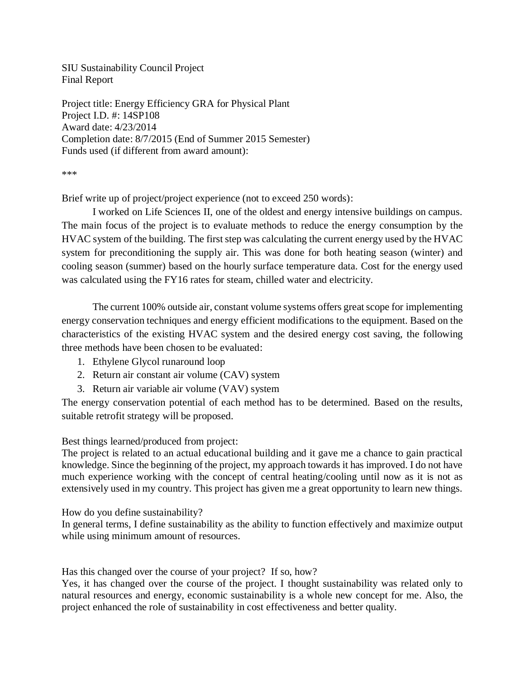SIU Sustainability Council Project Final Report

Project title: Energy Efficiency GRA for Physical Plant Project I.D. #: 14SP108 Award date: 4/23/2014 Completion date: 8/7/2015 (End of Summer 2015 Semester) Funds used (if different from award amount):

\*\*\*

Brief write up of project/project experience (not to exceed 250 words):

I worked on Life Sciences II, one of the oldest and energy intensive buildings on campus. The main focus of the project is to evaluate methods to reduce the energy consumption by the HVAC system of the building. The first step was calculating the current energy used by the HVAC system for preconditioning the supply air. This was done for both heating season (winter) and cooling season (summer) based on the hourly surface temperature data. Cost for the energy used was calculated using the FY16 rates for steam, chilled water and electricity.

The current 100% outside air, constant volume systems offers great scope for implementing energy conservation techniques and energy efficient modifications to the equipment. Based on the characteristics of the existing HVAC system and the desired energy cost saving, the following three methods have been chosen to be evaluated:

- 1. Ethylene Glycol runaround loop
- 2. Return air constant air volume (CAV) system
- 3. Return air variable air volume (VAV) system

The energy conservation potential of each method has to be determined. Based on the results, suitable retrofit strategy will be proposed.

Best things learned/produced from project:

The project is related to an actual educational building and it gave me a chance to gain practical knowledge. Since the beginning of the project, my approach towards it has improved. I do not have much experience working with the concept of central heating/cooling until now as it is not as extensively used in my country. This project has given me a great opportunity to learn new things.

How do you define sustainability?

In general terms, I define sustainability as the ability to function effectively and maximize output while using minimum amount of resources.

Has this changed over the course of your project? If so, how?

Yes, it has changed over the course of the project. I thought sustainability was related only to natural resources and energy, economic sustainability is a whole new concept for me. Also, the project enhanced the role of sustainability in cost effectiveness and better quality.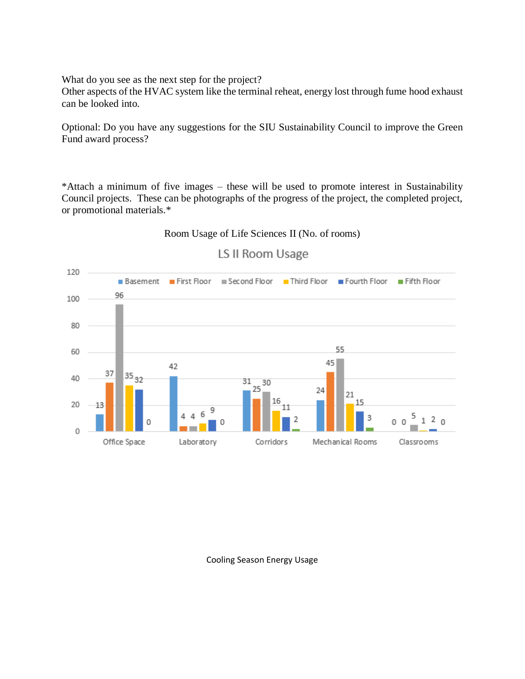What do you see as the next step for the project?

Other aspects of the HVAC system like the terminal reheat, energy lost through fume hood exhaust can be looked into.

Optional: Do you have any suggestions for the SIU Sustainability Council to improve the Green Fund award process?

\*Attach a minimum of five images – these will be used to promote interest in Sustainability Council projects. These can be photographs of the progress of the project, the completed project, or promotional materials.\*

## Room Usage of Life Sciences II (No. of rooms)



## LS II Room Usage

Cooling Season Energy Usage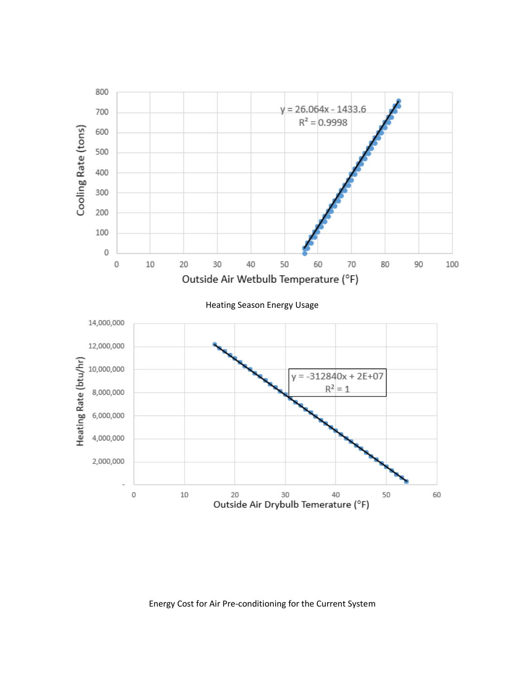

Energy Cost for Air Pre-conditioning for the Current System